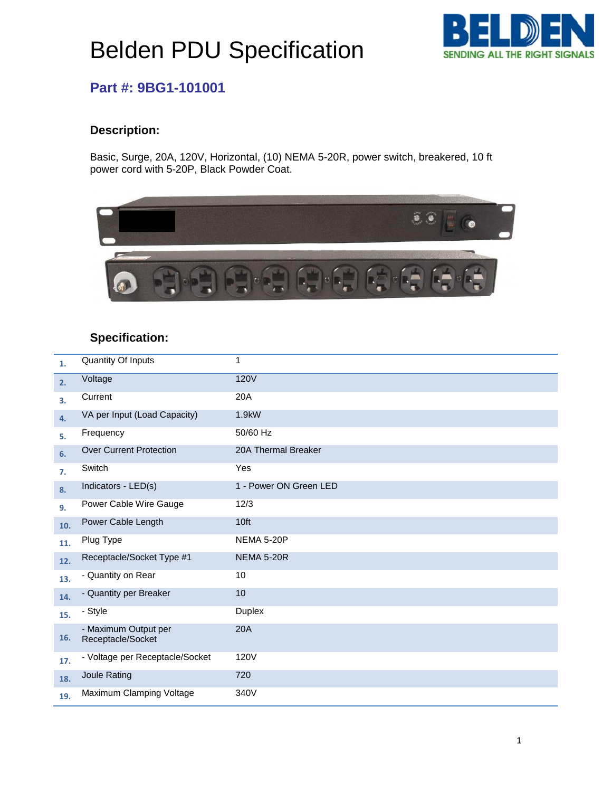# Belden PDU Specification



### **Part #: 9BG1-101001**

### **Description:**

Basic, Surge, 20A, 120V, Horizontal, (10) NEMA 5-20R, power switch, breakered, 10 ft power cord with 5-20P, Black Powder Coat.



#### **Specification:** ioation

| 1.  | Quantity Of Inputs                        | 1                      |
|-----|-------------------------------------------|------------------------|
| 2.  | Voltage                                   | <b>120V</b>            |
| 3.  | Current                                   | 20A                    |
| 4.  | VA per Input (Load Capacity)              | 1.9kW                  |
| 5.  | Frequency                                 | 50/60 Hz               |
| 6.  | <b>Over Current Protection</b>            | 20A Thermal Breaker    |
| 7.  | Switch                                    | Yes                    |
| 8.  | Indicators - LED(s)                       | 1 - Power ON Green LED |
| 9.  | Power Cable Wire Gauge                    | 12/3                   |
| 10. | Power Cable Length                        | 10 <sub>ft</sub>       |
| 11. | Plug Type                                 | <b>NEMA 5-20P</b>      |
| 12. | Receptacle/Socket Type #1                 | <b>NEMA 5-20R</b>      |
| 13. | - Quantity on Rear                        | 10                     |
| 14. | - Quantity per Breaker                    | 10                     |
| 15. | - Style                                   | Duplex                 |
| 16. | - Maximum Output per<br>Receptacle/Socket | 20A                    |
| 17. | - Voltage per Receptacle/Socket           | 120V                   |
| 18. | Joule Rating                              | 720                    |
| 19. | Maximum Clamping Voltage                  | 340V                   |